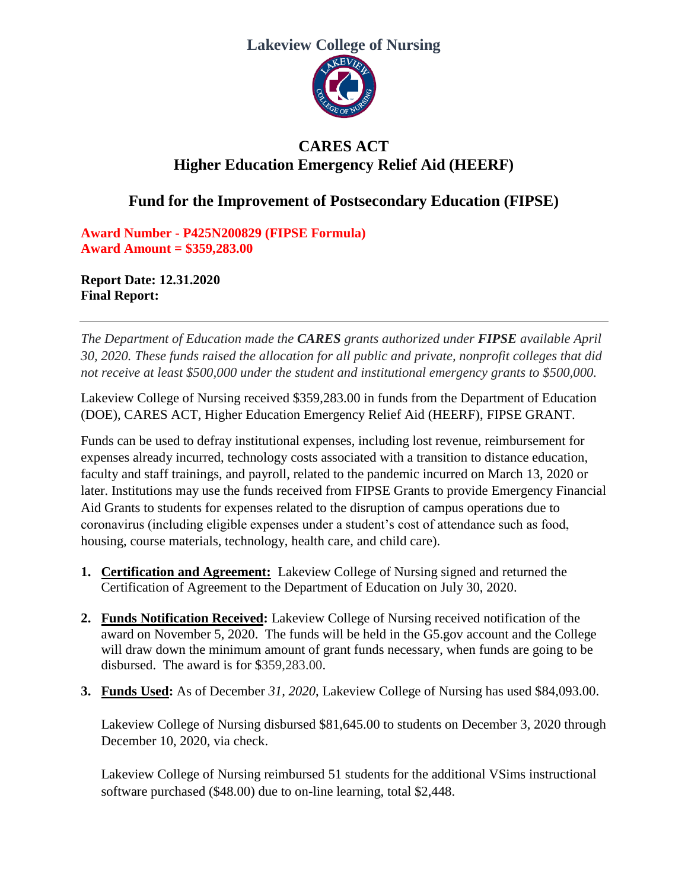## **Lakeview College of Nursing**



## **CARES ACT Higher Education Emergency Relief Aid (HEERF)**

## **Fund for the Improvement of Postsecondary Education (FIPSE)**

**Award Number - P425N200829 (FIPSE Formula) Award Amount = \$359,283.00**

**Report Date: 12.31.2020 Final Report:** 

*The Department of Education made the CARES grants authorized under FIPSE available April 30, 2020. These funds raised the allocation for all public and private, nonprofit colleges that did not receive at least \$500,000 under the student and institutional emergency grants to \$500,000.* 

Lakeview College of Nursing received \$359,283.00 in funds from the Department of Education (DOE), CARES ACT, Higher Education Emergency Relief Aid (HEERF), FIPSE GRANT.

Funds can be used to defray institutional expenses, including lost revenue, reimbursement for expenses already incurred, technology costs associated with a transition to distance education, faculty and staff trainings, and payroll, related to the pandemic incurred on March 13, 2020 or later. Institutions may use the funds received from FIPSE Grants to provide Emergency Financial Aid Grants to students for expenses related to the disruption of campus operations due to coronavirus (including eligible expenses under a student's cost of attendance such as food, housing, course materials, technology, health care, and child care).

- **1. Certification and Agreement:** Lakeview College of Nursing signed and returned the Certification of Agreement to the Department of Education on July 30, 2020.
- **2. Funds Notification Received:** Lakeview College of Nursing received notification of the award on November 5, 2020. The funds will be held in the G5.gov account and the College will draw down the minimum amount of grant funds necessary, when funds are going to be disbursed. The award is for \$359,283.00.
- **3. Funds Used:** As of December *31, 2020*, Lakeview College of Nursing has used \$84,093.00.

Lakeview College of Nursing disbursed \$81,645.00 to students on December 3, 2020 through December 10, 2020, via check.

Lakeview College of Nursing reimbursed 51 students for the additional VSims instructional software purchased (\$48.00) due to on-line learning, total \$2,448.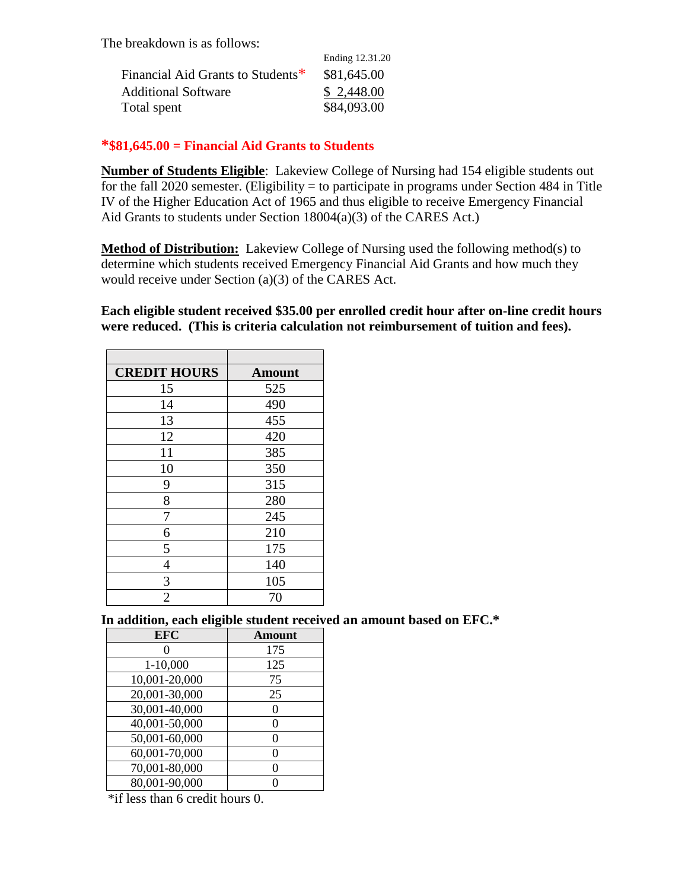The breakdown is as follows:

|                                   | Ending 12.31.20 |
|-----------------------------------|-----------------|
| Financial Aid Grants to Students* | \$81,645.00     |
| <b>Additional Software</b>        | \$2,448.00      |
| Total spent                       | \$84,093.00     |

## **\*\$81,645.00 = Financial Aid Grants to Students**

**Number of Students Eligible**: Lakeview College of Nursing had 154 eligible students out for the fall 2020 semester. (Eligibility = to participate in programs under Section 484 in Title IV of the Higher Education Act of 1965 and thus eligible to receive Emergency Financial Aid Grants to students under Section 18004(a)(3) of the CARES Act.)

**Method of Distribution:** Lakeview College of Nursing used the following method(s) to determine which students received Emergency Financial Aid Grants and how much they would receive under Section (a)(3) of the CARES Act.

**Each eligible student received \$35.00 per enrolled credit hour after on-line credit hours were reduced. (This is criteria calculation not reimbursement of tuition and fees).**

| <b>CREDIT HOURS</b> | <b>Amount</b> |
|---------------------|---------------|
| 15                  | 525           |
| 14                  | 490           |
| 13                  | 455           |
| 12                  | 420           |
| 11                  | 385           |
| 10                  | 350           |
| 9                   | 315           |
| 8                   | 280           |
| 7                   | 245           |
| 6                   | 210           |
| 5                   | 175           |
| 4                   | 140           |
| 3                   | 105           |
| $\overline{2}$      | 70            |

 **In addition, each eligible student received an amount based on EFC.\***

| <b>EFC</b>    | <b>Amount</b> |
|---------------|---------------|
|               | 175           |
| 1-10,000      | 125           |
| 10,001-20,000 | 75            |
| 20,001-30,000 | 25            |
| 30,001-40,000 |               |
| 40,001-50,000 |               |
| 50,001-60,000 | 0             |
| 60,001-70,000 |               |
| 70,001-80,000 |               |
| 80,001-90,000 |               |

\*if less than 6 credit hours 0.